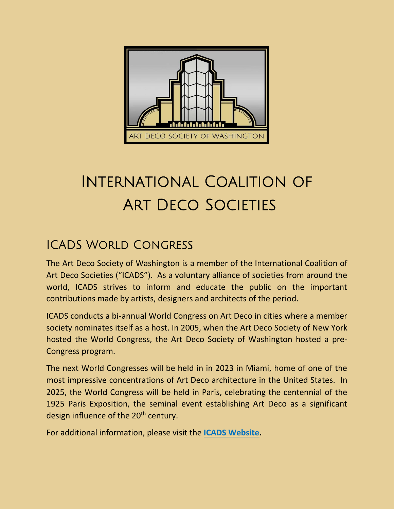

## International Coalition of Art Deco Societies

## ICADS World Congress

The Art Deco Society of Washington is a member of the International Coalition of Art Deco Societies ("ICADS"). As a voluntary alliance of societies from around the world, ICADS strives to inform and educate the public on the important contributions made by artists, designers and architects of the period.

ICADS conducts a bi-annual World Congress on Art Deco in cities where a member society nominates itself as a host. In 2005, when the Art Deco Society of New York hosted the World Congress, the Art Deco Society of Washington hosted a pre-Congress program.

The next World Congresses will be held in in 2023 in Miami, home of one of the most impressive concentrations of Art Deco architecture in the United States. In 2025, the World Congress will be held in Paris, celebrating the centennial of the 1925 Paris Exposition, the seminal event establishing Art Deco as a significant design influence of the 20<sup>th</sup> century.

For additional information, please visit the **[ICADS Website.](https://www.icadsartdeco.org/)**